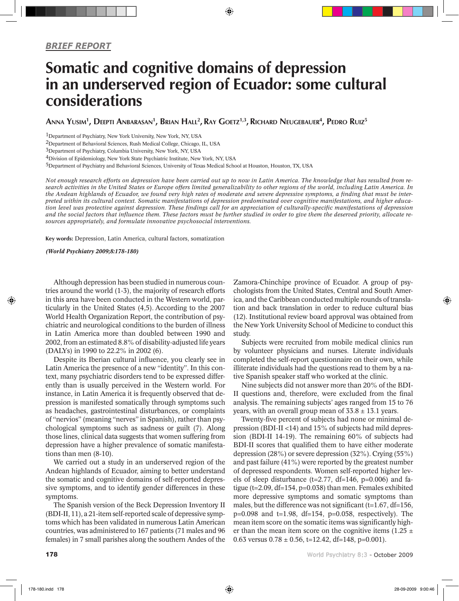## Somatic and cognitive domains of depression in an underserved region of Ecuador: some cultural considerations

◈

Anna Yusim<sup>1</sup>, Deepti Anbarasan<sup>1</sup>, Brian Hall<sup>2</sup>, Ray Goetz<sup>1,3</sup>, Richard Neugebauer<sup>4</sup>, Pedro Ruiz<sup>5</sup>

1Department of Psychiatry, New York University, New York, NY, USA

2Department of Behavioral Sciences, Rush Medical College, Chicago, IL, USA

3Department of Psychiatry, Columbia University, New York, NY, USA

4Division of Epidemiology, New York State Psychiatric Institute, New York, NY, USA

5Department of Psychiatry and Behavioral Sciences, University of Texas Medical School at Houston, Houston, TX, USA

*Not enough research efforts on depression have been carried out up to now in Latin America. The knowledge that has resulted from research activities in the United States or Europe offers limited generalizability to other regions of the world, including Latin America. In the Andean highlands of Ecuador, we found very high rates of moderate and severe depressive symptoms, a finding that must be interpreted within its cultural context. Somatic manifestations of depression predominated over cognitive manifestations, and higher education level was protective against depression. These findings call for an appreciation of culturally-specific manifestations of depression and the social factors that influence them. These factors must be further studied in order to give them the deserved priority, allocate resources appropriately, and formulate innovative psychosocial interventions.*

Key words: Depression, Latin America, cultural factors, somatization

*(World Psychiatry 2009;8:178-180)*

⊕

Although depression has been studied in numerous countries around the world (1-3), the majority of research efforts in this area have been conducted in the Western world, particularly in the United States (4,5). According to the 2007 World Health Organization Report, the contribution of psychiatric and neurological conditions to the burden of illness in Latin America more than doubled between 1990 and 2002, from an estimated 8.8% of disability-adjusted life years (DALYs) in 1990 to 22.2% in 2002 (6).

Despite its Iberian cultural influence, you clearly see in Latin America the presence of a new "identity". In this context, many psychiatric disorders tend to be expressed differently than is usually perceived in the Western world. For instance, in Latin America it is frequently observed that depression is manifested somatically through symptoms such as headaches, gastrointestinal disturbances, or complaints of "nervios" (meaning "nerves" in Spanish), rather than psychological symptoms such as sadness or guilt (7). Along those lines, clinical data suggests that women suffering from depression have a higher prevalence of somatic manifestations than men (8-10).

We carried out a study in an underserved region of the Andean highlands of Ecuador, aiming to better understand the somatic and cognitive domains of self-reported depressive symptoms, and to identify gender differences in these symptoms.

The Spanish version of the Beck Depression Inventory II (BDI-II, 11), a 21-item self-reported scale of depressive symptoms which has been validated in numerous Latin American countries, was administered to 167 patients (71 males and 96 females) in 7 small parishes along the southern Andes of the

Zamora-Chinchipe province of Ecuador. A group of psychologists from the United States, Central and South America, and the Caribbean conducted multiple rounds of translation and back translation in order to reduce cultural bias (12). Institutional review board approval was obtained from the New York University School of Medicine to conduct this study.

Subjects were recruited from mobile medical clinics run by volunteer physicians and nurses. Literate individuals completed the self-report questionnaire on their own, while illiterate individuals had the questions read to them by a native Spanish speaker staff who worked at the clinic.

Nine subjects did not answer more than 20% of the BDI-II questions and, therefore, were excluded from the final analysis. The remaining subjects' ages ranged from 15 to 76 years, with an overall group mean of  $33.8 \pm 13.1$  years.

Twenty-five percent of subjects had none or minimal depression (BDI-II <14) and 15% of subjects had mild depression (BDI-II 14-19). The remaining 60% of subjects had BDI-II scores that qualified them to have either moderate depression (28%) or severe depression (32%). Crying (55%) and past failure (41%) were reported by the greatest number of depressed respondents. Women self-reported higher levels of sleep disturbance (t=2.77, df=146, p=0.006) and fatigue (t=2.09, df=154, p=0.038) than men. Females exhibited more depressive symptoms and somatic symptoms than males, but the difference was not significant ( $t=1.67$ ,  $df=156$ ,  $p=0.098$  and  $t=1.98$ , df=154,  $p=0.058$ , respectively). The mean item score on the somatic items was significantly higher than the mean item score on the cognitive items (1.25  $\pm$ 0.63 versus  $0.78 \pm 0.56$ , t=12.42, df=148, p=0.001).

◈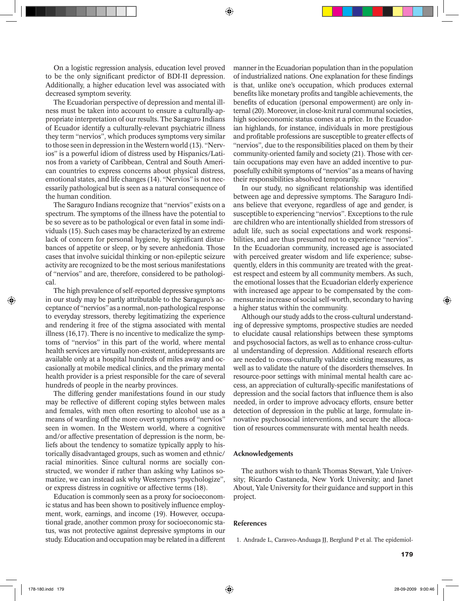⊕

On a logistic regression analysis, education level proved to be the only significant predictor of BDI-II depression. Additionally, a higher education level was associated with decreased symptom severity.

The Ecuadorian perspective of depression and mental illness must be taken into account to ensure a culturally-appropriate interpretation of our results. The Saraguro Indians of Ecuador identify a culturally-relevant psychiatric illness they term "nervios", which produces symptoms very similar to those seen in depression in the Western world (13). "Nervios" is a powerful idiom of distress used by Hispanics/Latinos from a variety of Caribbean, Central and South American countries to express concerns about physical distress, emotional states, and life changes (14). "Nervios" is not necessarily pathological but is seen as a natural consequence of the human condition.

The Saraguro Indians recognize that "nervios" exists on a spectrum. The symptoms of the illness have the potential to be so severe as to be pathological or even fatal in some individuals (15). Such cases may be characterized by an extreme lack of concern for personal hygiene, by significant disturbances of appetite or sleep, or by severe anhedonia. Those cases that involve suicidal thinking or non-epileptic seizure activity are recognized to be the most serious manifestations of "nervios" and are, therefore, considered to be pathological.

The high prevalence of self-reported depressive symptoms in our study may be partly attributable to the Saraguro's acceptance of "nervios" as a normal, non-pathological response to everyday stressors, thereby legitimatizing the experience and rendering it free of the stigma associated with mental illness (16,17). There is no incentive to medicalize the symptoms of "nervios" in this part of the world, where mental health services are virtually non-existent, antidepressants are available only at a hospital hundreds of miles away and occasionally at mobile medical clinics, and the primary mental health provider is a priest responsible for the care of several hundreds of people in the nearby provinces.

The differing gender manifestations found in our study may be reflective of different coping styles between males and females, with men often resorting to alcohol use as a means of warding off the more overt symptoms of "nervios" seen in women. In the Western world, where a cognitive and/or affective presentation of depression is the norm, beliefs about the tendency to somatize typically apply to historically disadvantaged groups, such as women and ethnic/ racial minorities. Since cultural norms are socially constructed, we wonder if rather than asking why Latinos somatize, we can instead ask why Westerners "psychologize", or express distress in cognitive or affective terms (18).

Education is commonly seen as a proxy for socioeconomic status and has been shown to positively influence employment, work, earnings, and income (19). However, occupational grade, another common proxy for socioeconomic status, was not protective against depressive symptoms in our study. Education and occupation may be related in a different manner in the Ecuadorian population than in the population of industrialized nations. One explanation for these findings is that, unlike one's occupation, which produces external benefits like monetary profits and tangible achievements, the benefits of education (personal empowerment) are only internal (20). Moreover, in close-knit rural communal societies, high socioeconomic status comes at a price. In the Ecuadorian highlands, for instance, individuals in more prestigious and profitable professions are susceptible to greater effects of "nervios", due to the responsibilities placed on them by their community-oriented family and society (21). Those with certain occupations may even have an added incentive to purposefully exhibit symptoms of "nervios" as a means of having their responsibilities absolved temporarily.

In our study, no significant relationship was identified between age and depressive symptoms. The Saraguro Indians believe that everyone, regardless of age and gender, is susceptible to experiencing "nervios". Exceptions to the rule are children who are intentionally shielded from stressors of adult life, such as social expectations and work responsibilities, and are thus presumed not to experience "nervios". In the Ecuadorian community, increased age is associated with perceived greater wisdom and life experience; subsequently, elders in this community are treated with the greatest respect and esteem by all community members. As such, the emotional losses that the Ecuadorian elderly experience with increased age appear to be compensated by the commensurate increase of social self-worth, secondary to having a higher status within the community.

Although our study adds to the cross-cultural understanding of depressive symptoms, prospective studies are needed to elucidate causal relationships between these symptoms and psychosocial factors, as well as to enhance cross-cultural understanding of depression. Additional research efforts are needed to cross-culturally validate existing measures, as well as to validate the nature of the disorders themselves. In resource-poor settings with minimal mental health care access, an appreciation of culturally-specific manifestations of depression and the social factors that influence them is also needed, in order to improve advocacy efforts, ensure better detection of depression in the public at large, formulate innovative psychosocial interventions, and secure the allocation of resources commensurate with mental health needs.

## Acknowledgements

The authors wish to thank Thomas Stewart, Yale University; Ricardo Castaneda, New York University; and Janet About, Yale University for their guidance and support in this project.

## References

1. Andrade L, Caraveo-Anduaga JJ, Berglund P et al. The epidemiol-

◈

⊕